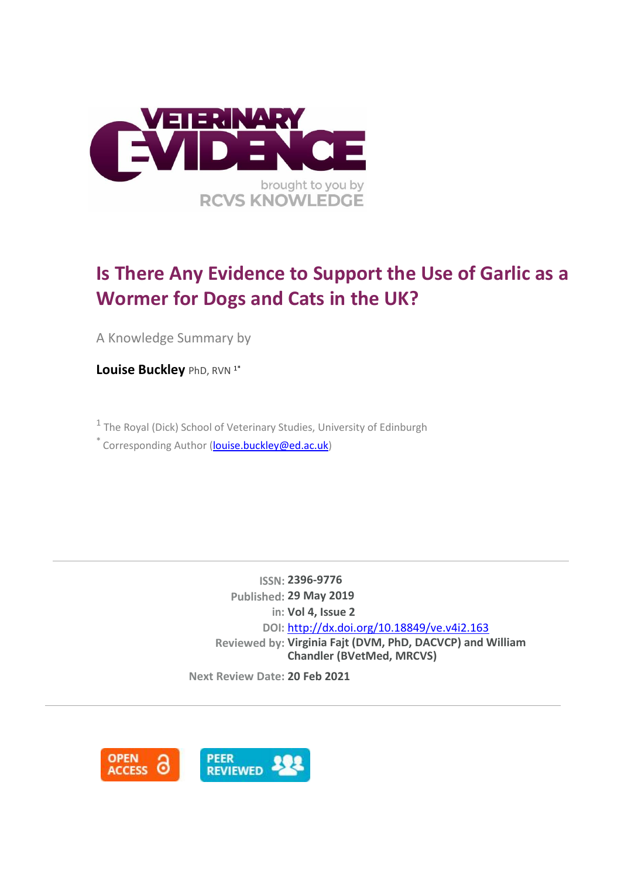

# **Is There Any Evidence to Support the Use of Garlic as a Wormer for Dogs and Cats in the UK?**

A Knowledge Summary by

**Louise Buckley PhD, RVN 1\*** 

<sup>1</sup> The Royal (Dick) School of Veterinary Studies, University of Edinburgh

 $\check{\phantom{\phi}}$  Corresponding Author [\(louise.buckley@ed.ac.uk\)](mailto:louise.buckley@ed.ac.uk)

**ISSN: 2396-9776 Published: 29 May 2019 in: Vol 4, Issue 2 klkl Chandler (BVetMed, MRCVS) DOI:** <http://dx.doi.org/10.18849/ve.v4i2.163> **Reviewed by: Virginia Fajt (DVM, PhD, DACVCP) and William** 

**Next Review Date: 20 Feb 2021**

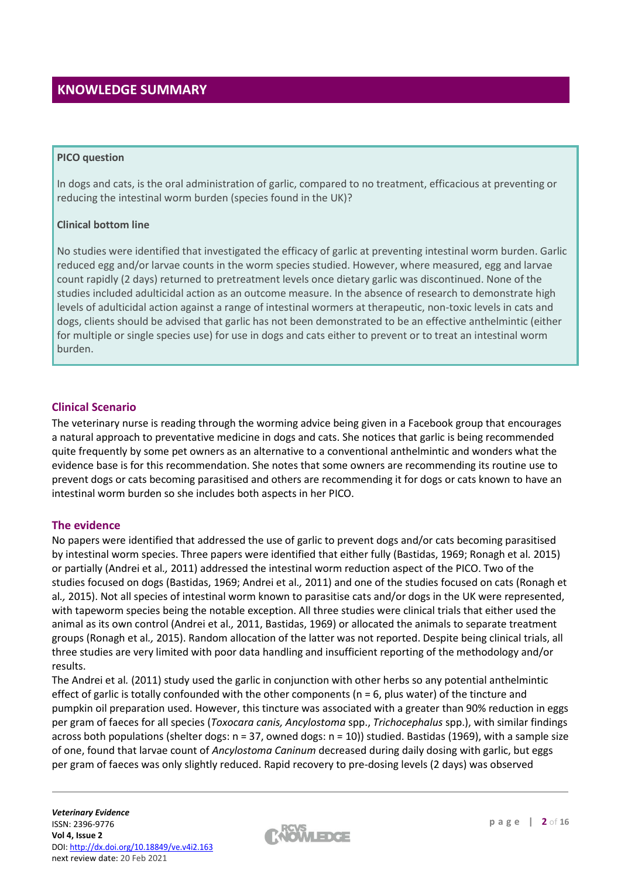# **KNOWLEDGE SUMMARY**

#### **PICO question**

In dogs and cats, is the oral administration of garlic, compared to no treatment, efficacious at preventing or reducing the intestinal worm burden (species found in the UK)?

#### **Clinical bottom line**

No studies were identified that investigated the efficacy of garlic at preventing intestinal worm burden. Garlic reduced egg and/or larvae counts in the worm species studied. However, where measured, egg and larvae count rapidly (2 days) returned to pretreatment levels once dietary garlic was discontinued. None of the studies included adulticidal action as an outcome measure. In the absence of research to demonstrate high levels of adulticidal action against a range of intestinal wormers at therapeutic, non-toxic levels in cats and dogs, clients should be advised that garlic has not been demonstrated to be an effective anthelmintic (either for multiple or single species use) for use in dogs and cats either to prevent or to treat an intestinal worm burden.

### **Clinical Scenario**

The veterinary nurse is reading through the worming advice being given in a Facebook group that encourages a natural approach to preventative medicine in dogs and cats. She notices that garlic is being recommended quite frequently by some pet owners as an alternative to a conventional anthelmintic and wonders what the evidence base is for this recommendation. She notes that some owners are recommending its routine use to prevent dogs or cats becoming parasitised and others are recommending it for dogs or cats known to have an intestinal worm burden so she includes both aspects in her PICO.

#### **The evidence**

No papers were identified that addressed the use of garlic to prevent dogs and/or cats becoming parasitised by intestinal worm species. Three papers were identified that either fully (Bastidas, 1969; Ronagh et al*.* 2015) or partially (Andrei et al*.,* 2011) addressed the intestinal worm reduction aspect of the PICO. Two of the studies focused on dogs (Bastidas, 1969; Andrei et al*.,* 2011) and one of the studies focused on cats (Ronagh et al*.,* 2015). Not all species of intestinal worm known to parasitise cats and/or dogs in the UK were represented, with tapeworm species being the notable exception. All three studies were clinical trials that either used the animal as its own control (Andrei et al*.,* 2011, Bastidas, 1969) or allocated the animals to separate treatment groups (Ronagh et al*.,* 2015). Random allocation of the latter was not reported. Despite being clinical trials, all three studies are very limited with poor data handling and insufficient reporting of the methodology and/or results.

The Andrei et al*.* (2011) study used the garlic in conjunction with other herbs so any potential anthelmintic effect of garlic is totally confounded with the other components ( $n = 6$ , plus water) of the tincture and pumpkin oil preparation used. However, this tincture was associated with a greater than 90% reduction in eggs per gram of faeces for all species (*Toxocara canis, Ancylostoma* spp., *Trichocephalus* spp.), with similar findings across both populations (shelter dogs: n = 37, owned dogs: n = 10)) studied. Bastidas (1969), with a sample size of one, found that larvae count of *Ancylostoma Caninum* decreased during daily dosing with garlic, but eggs per gram of faeces was only slightly reduced. Rapid recovery to pre-dosing levels (2 days) was observed

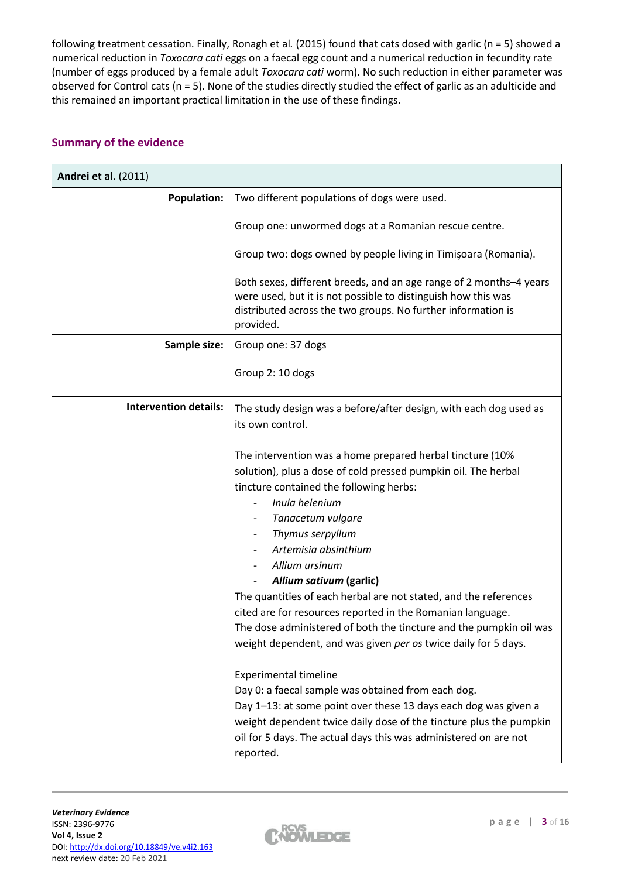following treatment cessation. Finally, Ronagh et al*.* (2015) found that cats dosed with garlic (n = 5) showed a numerical reduction in *Toxocara cati* eggs on a faecal egg count and a numerical reduction in fecundity rate (number of eggs produced by a female adult *Toxocara cati* worm). No such reduction in either parameter was observed for Control cats (n = 5). None of the studies directly studied the effect of garlic as an adulticide and this remained an important practical limitation in the use of these findings.

## **Summary of the evidence**

| Andrei et al. (2011)         |                                                                                                                                                                                                                                                                                                                                                                                                                                                                                                                                                                                  |  |
|------------------------------|----------------------------------------------------------------------------------------------------------------------------------------------------------------------------------------------------------------------------------------------------------------------------------------------------------------------------------------------------------------------------------------------------------------------------------------------------------------------------------------------------------------------------------------------------------------------------------|--|
| <b>Population:</b>           | Two different populations of dogs were used.                                                                                                                                                                                                                                                                                                                                                                                                                                                                                                                                     |  |
|                              | Group one: unwormed dogs at a Romanian rescue centre.                                                                                                                                                                                                                                                                                                                                                                                                                                                                                                                            |  |
|                              | Group two: dogs owned by people living in Timişoara (Romania).                                                                                                                                                                                                                                                                                                                                                                                                                                                                                                                   |  |
|                              | Both sexes, different breeds, and an age range of 2 months-4 years<br>were used, but it is not possible to distinguish how this was<br>distributed across the two groups. No further information is<br>provided.                                                                                                                                                                                                                                                                                                                                                                 |  |
| Sample size:                 | Group one: 37 dogs                                                                                                                                                                                                                                                                                                                                                                                                                                                                                                                                                               |  |
|                              | Group 2: 10 dogs                                                                                                                                                                                                                                                                                                                                                                                                                                                                                                                                                                 |  |
| <b>Intervention details:</b> | The study design was a before/after design, with each dog used as<br>its own control.                                                                                                                                                                                                                                                                                                                                                                                                                                                                                            |  |
|                              | The intervention was a home prepared herbal tincture (10%<br>solution), plus a dose of cold pressed pumpkin oil. The herbal<br>tincture contained the following herbs:<br>Inula helenium<br>Tanacetum vulgare<br>Thymus serpyllum<br>Artemisia absinthium<br>Allium ursinum<br>Allium sativum (garlic)<br>The quantities of each herbal are not stated, and the references<br>cited are for resources reported in the Romanian language.<br>The dose administered of both the tincture and the pumpkin oil was<br>weight dependent, and was given per os twice daily for 5 days. |  |
|                              | <b>Experimental timeline</b><br>Day 0: a faecal sample was obtained from each dog.<br>Day 1-13: at some point over these 13 days each dog was given a<br>weight dependent twice daily dose of the tincture plus the pumpkin<br>oil for 5 days. The actual days this was administered on are not<br>reported.                                                                                                                                                                                                                                                                     |  |

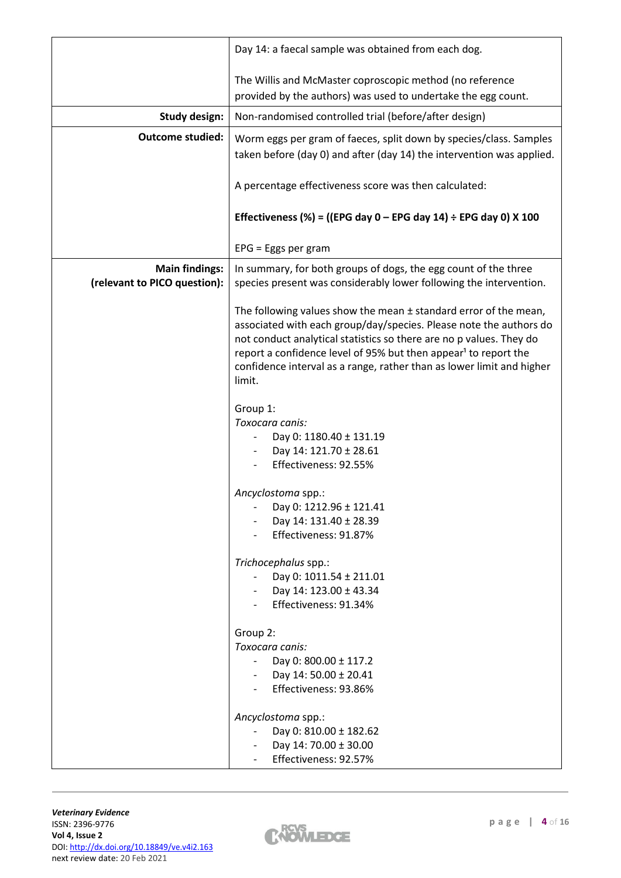|                                                       | Day 14: a faecal sample was obtained from each dog.                                                                                                                                                                                                                                                                                                                                 |  |  |  |  |  |
|-------------------------------------------------------|-------------------------------------------------------------------------------------------------------------------------------------------------------------------------------------------------------------------------------------------------------------------------------------------------------------------------------------------------------------------------------------|--|--|--|--|--|
|                                                       | The Willis and McMaster coproscopic method (no reference                                                                                                                                                                                                                                                                                                                            |  |  |  |  |  |
|                                                       | provided by the authors) was used to undertake the egg count.                                                                                                                                                                                                                                                                                                                       |  |  |  |  |  |
| <b>Study design:</b>                                  | Non-randomised controlled trial (before/after design)                                                                                                                                                                                                                                                                                                                               |  |  |  |  |  |
| <b>Outcome studied:</b>                               | Worm eggs per gram of faeces, split down by species/class. Samples<br>taken before (day 0) and after (day 14) the intervention was applied.                                                                                                                                                                                                                                         |  |  |  |  |  |
|                                                       | A percentage effectiveness score was then calculated:                                                                                                                                                                                                                                                                                                                               |  |  |  |  |  |
|                                                       | Effectiveness (%) = ((EPG day $0$ – EPG day 14) ÷ EPG day 0) X 100                                                                                                                                                                                                                                                                                                                  |  |  |  |  |  |
|                                                       | $EPG = Eggs per gram$                                                                                                                                                                                                                                                                                                                                                               |  |  |  |  |  |
| <b>Main findings:</b><br>(relevant to PICO question): | In summary, for both groups of dogs, the egg count of the three<br>species present was considerably lower following the intervention.                                                                                                                                                                                                                                               |  |  |  |  |  |
|                                                       | The following values show the mean $\pm$ standard error of the mean,<br>associated with each group/day/species. Please note the authors do<br>not conduct analytical statistics so there are no p values. They do<br>report a confidence level of 95% but then appear <sup>1</sup> to report the<br>confidence interval as a range, rather than as lower limit and higher<br>limit. |  |  |  |  |  |
|                                                       | Group 1:<br>Toxocara canis:<br>Day 0: 1180.40 ± 131.19<br>Day 14: 121.70 ± 28.61<br>Effectiveness: 92.55%                                                                                                                                                                                                                                                                           |  |  |  |  |  |
|                                                       | Ancyclostoma spp.:<br>Day 0: 1212.96 ± 121.41<br>Day 14: 131.40 ± 28.39<br>Effectiveness: 91.87%                                                                                                                                                                                                                                                                                    |  |  |  |  |  |
|                                                       | Trichocephalus spp.:<br>Day 0: 1011.54 ± 211.01<br>Day 14: 123.00 ± 43.34<br>Effectiveness: 91.34%                                                                                                                                                                                                                                                                                  |  |  |  |  |  |
|                                                       | Group 2:<br>Toxocara canis:<br>Day 0: 800.00 ± 117.2<br>Day 14: 50.00 ± 20.41<br>Effectiveness: 93.86%                                                                                                                                                                                                                                                                              |  |  |  |  |  |
|                                                       | Ancyclostoma spp.:<br>Day 0: 810.00 ± 182.62<br>Day 14: 70.00 ± 30.00<br>Effectiveness: 92.57%                                                                                                                                                                                                                                                                                      |  |  |  |  |  |

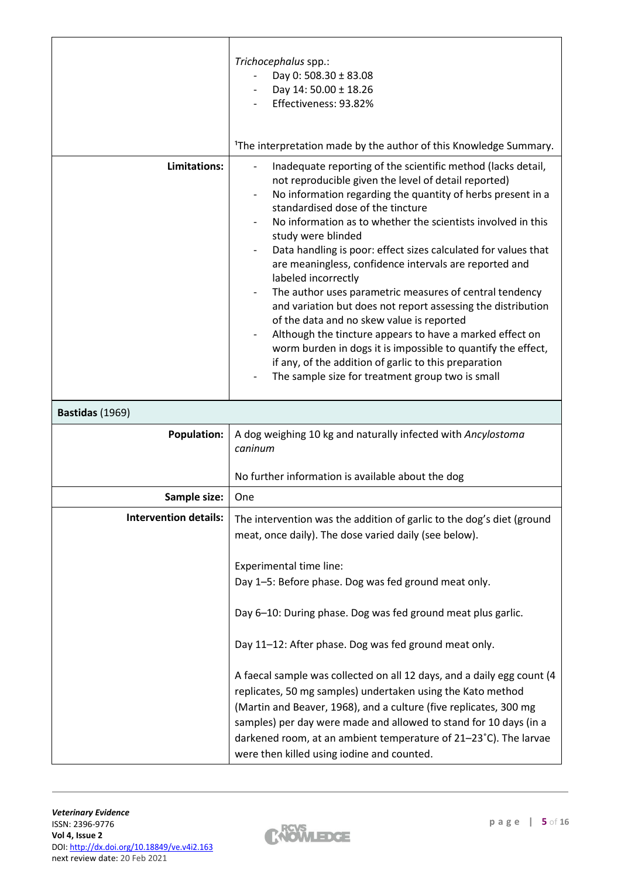|                              | Trichocephalus spp.:<br>Day 0: 508.30 ± 83.08<br>Day 14: 50.00 ± 18.26<br>Effectiveness: 93.82%                                                                                                                                                                                                                                                                                                                                                                                                                                                                                                                                                                                                                                                                                                                                                                                    |  |  |  |  |
|------------------------------|------------------------------------------------------------------------------------------------------------------------------------------------------------------------------------------------------------------------------------------------------------------------------------------------------------------------------------------------------------------------------------------------------------------------------------------------------------------------------------------------------------------------------------------------------------------------------------------------------------------------------------------------------------------------------------------------------------------------------------------------------------------------------------------------------------------------------------------------------------------------------------|--|--|--|--|
|                              | <sup>1</sup> The interpretation made by the author of this Knowledge Summary.                                                                                                                                                                                                                                                                                                                                                                                                                                                                                                                                                                                                                                                                                                                                                                                                      |  |  |  |  |
| Limitations:                 | Inadequate reporting of the scientific method (lacks detail,<br>not reproducible given the level of detail reported)<br>No information regarding the quantity of herbs present in a<br>standardised dose of the tincture<br>No information as to whether the scientists involved in this<br>study were blinded<br>Data handling is poor: effect sizes calculated for values that<br>are meaningless, confidence intervals are reported and<br>labeled incorrectly<br>The author uses parametric measures of central tendency<br>and variation but does not report assessing the distribution<br>of the data and no skew value is reported<br>Although the tincture appears to have a marked effect on<br>worm burden in dogs it is impossible to quantify the effect,<br>if any, of the addition of garlic to this preparation<br>The sample size for treatment group two is small |  |  |  |  |
| Bastidas (1969)              |                                                                                                                                                                                                                                                                                                                                                                                                                                                                                                                                                                                                                                                                                                                                                                                                                                                                                    |  |  |  |  |
| <b>Population:</b>           | A dog weighing 10 kg and naturally infected with Ancylostoma<br>caninum                                                                                                                                                                                                                                                                                                                                                                                                                                                                                                                                                                                                                                                                                                                                                                                                            |  |  |  |  |
|                              | No further information is available about the dog                                                                                                                                                                                                                                                                                                                                                                                                                                                                                                                                                                                                                                                                                                                                                                                                                                  |  |  |  |  |
| Sample size:                 | One                                                                                                                                                                                                                                                                                                                                                                                                                                                                                                                                                                                                                                                                                                                                                                                                                                                                                |  |  |  |  |
| <b>Intervention details:</b> | The intervention was the addition of garlic to the dog's diet (ground<br>meat, once daily). The dose varied daily (see below).                                                                                                                                                                                                                                                                                                                                                                                                                                                                                                                                                                                                                                                                                                                                                     |  |  |  |  |
|                              | Experimental time line:<br>Day 1-5: Before phase. Dog was fed ground meat only.                                                                                                                                                                                                                                                                                                                                                                                                                                                                                                                                                                                                                                                                                                                                                                                                    |  |  |  |  |
|                              | Day 6-10: During phase. Dog was fed ground meat plus garlic.                                                                                                                                                                                                                                                                                                                                                                                                                                                                                                                                                                                                                                                                                                                                                                                                                       |  |  |  |  |
|                              | Day 11-12: After phase. Dog was fed ground meat only.                                                                                                                                                                                                                                                                                                                                                                                                                                                                                                                                                                                                                                                                                                                                                                                                                              |  |  |  |  |
|                              | A faecal sample was collected on all 12 days, and a daily egg count (4<br>replicates, 50 mg samples) undertaken using the Kato method<br>(Martin and Beaver, 1968), and a culture (five replicates, 300 mg<br>samples) per day were made and allowed to stand for 10 days (in a<br>darkened room, at an ambient temperature of 21-23°C). The larvae<br>were then killed using iodine and counted.                                                                                                                                                                                                                                                                                                                                                                                                                                                                                  |  |  |  |  |

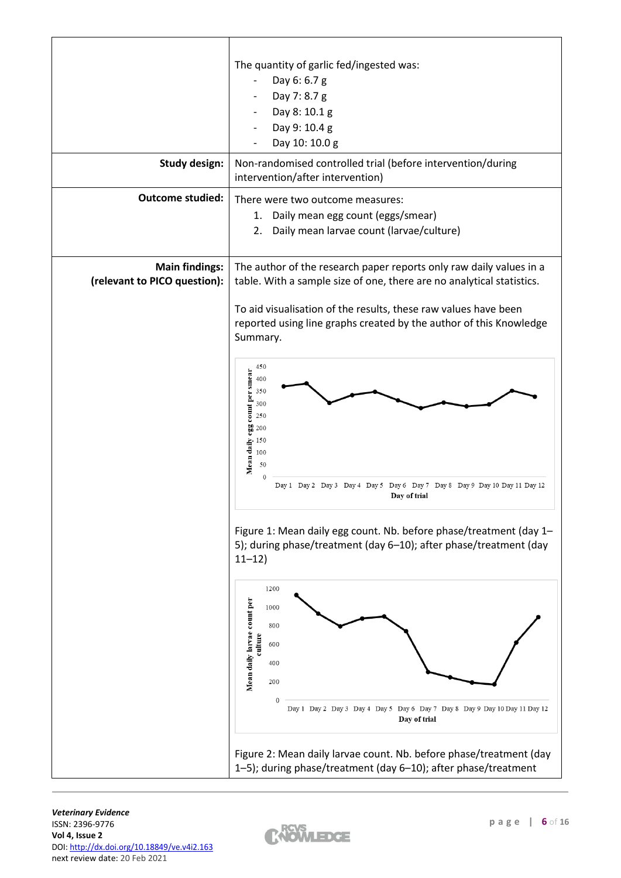| <b>Study design:</b><br><b>Outcome studied:</b>       | The quantity of garlic fed/ingested was:<br>Day 6: 6.7 g<br>Day 7: 8.7 g<br>Day 8: 10.1 g<br>Day 9: 10.4 g<br>Day 10: 10.0 g<br>Non-randomised controlled trial (before intervention/during<br>intervention/after intervention)<br>There were two outcome measures:<br>Daily mean egg count (eggs/smear)<br>1.<br>Daily mean larvae count (larvae/culture)<br>2.                                                                                                                                                                                 |  |  |  |  |  |
|-------------------------------------------------------|--------------------------------------------------------------------------------------------------------------------------------------------------------------------------------------------------------------------------------------------------------------------------------------------------------------------------------------------------------------------------------------------------------------------------------------------------------------------------------------------------------------------------------------------------|--|--|--|--|--|
| <b>Main findings:</b><br>(relevant to PICO question): | The author of the research paper reports only raw daily values in a<br>table. With a sample size of one, there are no analytical statistics.<br>To aid visualisation of the results, these raw values have been<br>reported using line graphs created by the author of this Knowledge<br>Summary.<br>450<br>count per smear<br>400<br>350<br>300<br>250<br>egg<br>200<br>$\frac{15}{4}$ 150<br>$\frac{150}{50}$<br>$\frac{150}{2}$<br>$\mathbf{0}$<br>Day 1 Day 2 Day 3 Day 4 Day 5 Day 6 Day 7 Day 8 Day 9 Day 10 Day 11 Day 12<br>Day of trial |  |  |  |  |  |
|                                                       | Figure 1: Mean daily egg count. Nb. before phase/treatment (day 1-<br>5); during phase/treatment (day 6-10); after phase/treatment (day<br>$11 - 12$<br>1200<br>Mean daily larvae count per<br>1000<br>800<br>culture<br>600<br>400<br>200<br>Day 1 Day 2 Day 3 Day 4 Day 5 Day 6 Day 7 Day 8 Day 9 Day 10 Day 11 Day 12<br>Day of trial<br>Figure 2: Mean daily larvae count. Nb. before phase/treatment (day<br>1-5); during phase/treatment (day 6-10); after phase/treatment                                                                 |  |  |  |  |  |

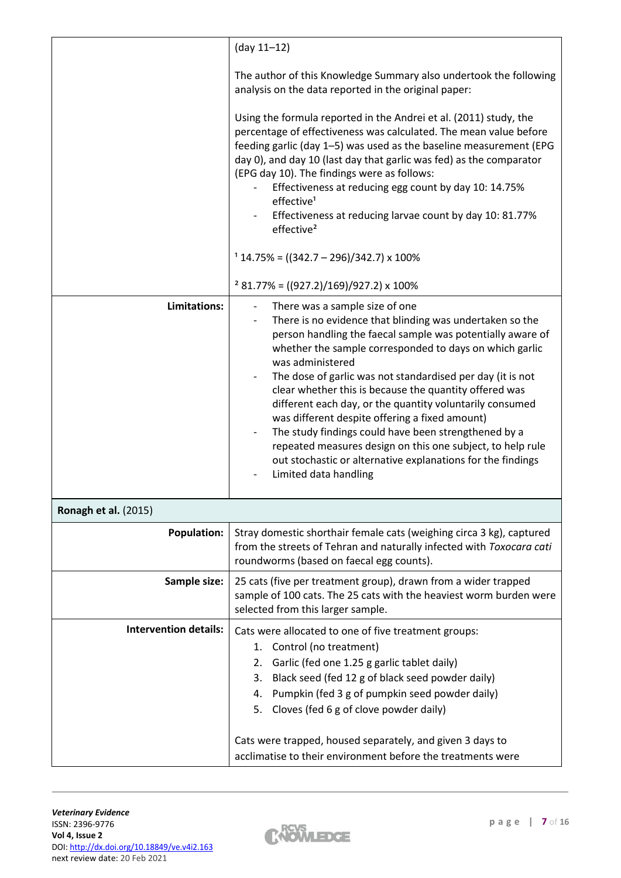|                              | $(day 11-12)$                                                                                                                                                                                                                                                                                                                                                                                                                                                                                                                                                                                                                                                                               |
|------------------------------|---------------------------------------------------------------------------------------------------------------------------------------------------------------------------------------------------------------------------------------------------------------------------------------------------------------------------------------------------------------------------------------------------------------------------------------------------------------------------------------------------------------------------------------------------------------------------------------------------------------------------------------------------------------------------------------------|
|                              | The author of this Knowledge Summary also undertook the following<br>analysis on the data reported in the original paper:                                                                                                                                                                                                                                                                                                                                                                                                                                                                                                                                                                   |
|                              | Using the formula reported in the Andrei et al. (2011) study, the<br>percentage of effectiveness was calculated. The mean value before<br>feeding garlic (day 1-5) was used as the baseline measurement (EPG<br>day 0), and day 10 (last day that garlic was fed) as the comparator<br>(EPG day 10). The findings were as follows:<br>Effectiveness at reducing egg count by day 10: 14.75%<br>effective <sup>1</sup><br>Effectiveness at reducing larvae count by day 10: 81.77%<br>effective <sup>2</sup>                                                                                                                                                                                 |
|                              | $114.75\% = ((342.7 - 296)/342.7) \times 100\%$                                                                                                                                                                                                                                                                                                                                                                                                                                                                                                                                                                                                                                             |
|                              | $2$ 81.77% = ((927.2)/169)/927.2) x 100%                                                                                                                                                                                                                                                                                                                                                                                                                                                                                                                                                                                                                                                    |
| Limitations:                 | There was a sample size of one<br>There is no evidence that blinding was undertaken so the<br>person handling the faecal sample was potentially aware of<br>whether the sample corresponded to days on which garlic<br>was administered<br>The dose of garlic was not standardised per day (it is not<br>clear whether this is because the quantity offered was<br>different each day, or the quantity voluntarily consumed<br>was different despite offering a fixed amount)<br>The study findings could have been strengthened by a<br>repeated measures design on this one subject, to help rule<br>out stochastic or alternative explanations for the findings<br>Limited data handling |
| <b>Ronagh et al. (2015)</b>  |                                                                                                                                                                                                                                                                                                                                                                                                                                                                                                                                                                                                                                                                                             |
| <b>Population:</b>           | Stray domestic shorthair female cats (weighing circa 3 kg), captured<br>from the streets of Tehran and naturally infected with Toxocara cati<br>roundworms (based on faecal egg counts).                                                                                                                                                                                                                                                                                                                                                                                                                                                                                                    |
| Sample size:                 | 25 cats (five per treatment group), drawn from a wider trapped<br>sample of 100 cats. The 25 cats with the heaviest worm burden were<br>selected from this larger sample.                                                                                                                                                                                                                                                                                                                                                                                                                                                                                                                   |
| <b>Intervention details:</b> | Cats were allocated to one of five treatment groups:<br>1. Control (no treatment)<br>2. Garlic (fed one 1.25 g garlic tablet daily)<br>3. Black seed (fed 12 g of black seed powder daily)<br>4. Pumpkin (fed 3 g of pumpkin seed powder daily)<br>5. Cloves (fed 6 g of clove powder daily)<br>Cats were trapped, housed separately, and given 3 days to                                                                                                                                                                                                                                                                                                                                   |



acclimatise to their environment before the treatments were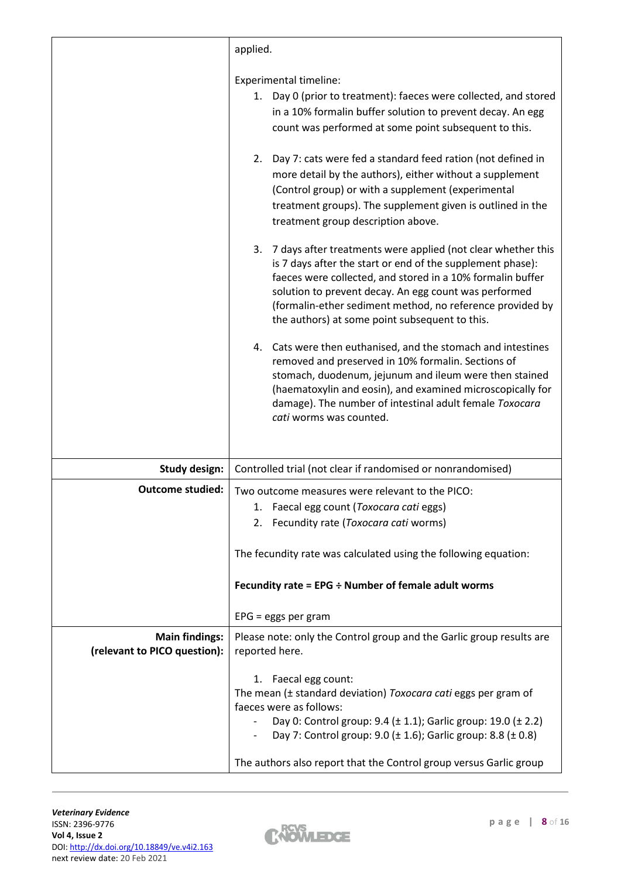| applied.<br><b>Experimental timeline:</b>                                                                             |
|-----------------------------------------------------------------------------------------------------------------------|
|                                                                                                                       |
|                                                                                                                       |
| 1. Day 0 (prior to treatment): faeces were collected, and stored                                                      |
| in a 10% formalin buffer solution to prevent decay. An egg                                                            |
| count was performed at some point subsequent to this.                                                                 |
|                                                                                                                       |
| Day 7: cats were fed a standard feed ration (not defined in<br>2.                                                     |
| more detail by the authors), either without a supplement                                                              |
| (Control group) or with a supplement (experimental                                                                    |
| treatment groups). The supplement given is outlined in the                                                            |
| treatment group description above.                                                                                    |
| 7 days after treatments were applied (not clear whether this<br>3.                                                    |
| is 7 days after the start or end of the supplement phase):                                                            |
| faeces were collected, and stored in a 10% formalin buffer                                                            |
| solution to prevent decay. An egg count was performed                                                                 |
| (formalin-ether sediment method, no reference provided by                                                             |
| the authors) at some point subsequent to this.                                                                        |
| 4. Cats were then euthanised, and the stomach and intestines                                                          |
| removed and preserved in 10% formalin. Sections of                                                                    |
| stomach, duodenum, jejunum and ileum were then stained                                                                |
| (haematoxylin and eosin), and examined microscopically for<br>damage). The number of intestinal adult female Toxocara |
| cati worms was counted.                                                                                               |
|                                                                                                                       |
|                                                                                                                       |
| Controlled trial (not clear if randomised or nonrandomised)<br><b>Study design:</b>                                   |
| <b>Outcome studied:</b><br>Two outcome measures were relevant to the PICO:                                            |
| 1. Faecal egg count (Toxocara cati eggs)                                                                              |
| Fecundity rate (Toxocara cati worms)<br>2.                                                                            |
|                                                                                                                       |
| The fecundity rate was calculated using the following equation:                                                       |
| Fecundity rate = $EPG \div$ Number of female adult worms                                                              |
| $EPG = eggs per gram$                                                                                                 |
| <b>Main findings:</b><br>Please note: only the Control group and the Garlic group results are                         |
| (relevant to PICO question):<br>reported here.                                                                        |
| 1. Faecal egg count:                                                                                                  |
| The mean (± standard deviation) Toxocara cati eggs per gram of                                                        |
| faeces were as follows:                                                                                               |
| Day 0: Control group: 9.4 (± 1.1); Garlic group: 19.0 (± 2.2)                                                         |
| Day 7: Control group: 9.0 (± 1.6); Garlic group: 8.8 (± 0.8)                                                          |
| The authors also report that the Control group versus Garlic group                                                    |

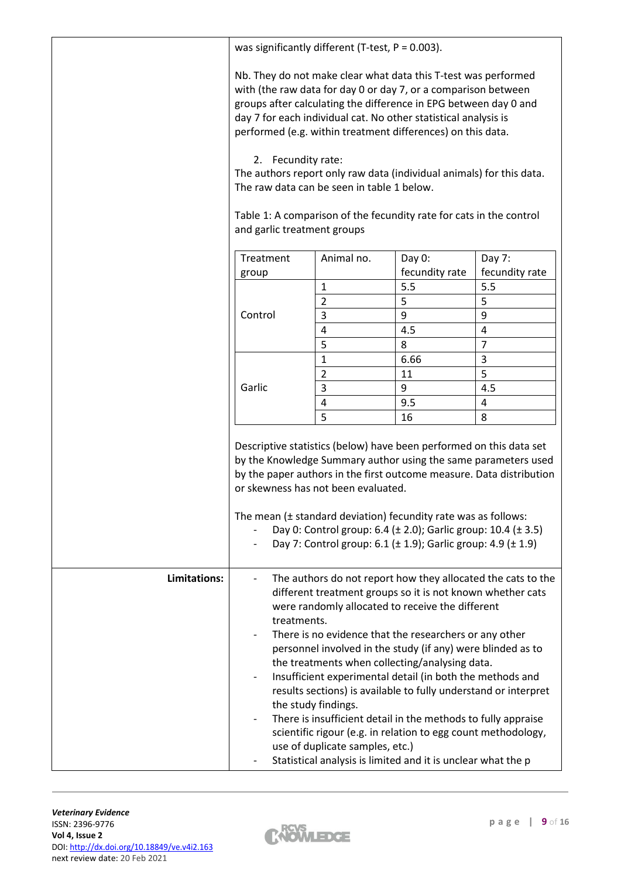|              | was significantly different (T-test, $P = 0.003$ ).                                                                                                                                                                                                                                                                                                                                                                                                                                                                                                                                                                                                                                                                                                                  |                     |                |                |  |
|--------------|----------------------------------------------------------------------------------------------------------------------------------------------------------------------------------------------------------------------------------------------------------------------------------------------------------------------------------------------------------------------------------------------------------------------------------------------------------------------------------------------------------------------------------------------------------------------------------------------------------------------------------------------------------------------------------------------------------------------------------------------------------------------|---------------------|----------------|----------------|--|
|              | Nb. They do not make clear what data this T-test was performed<br>with (the raw data for day 0 or day 7, or a comparison between<br>groups after calculating the difference in EPG between day 0 and<br>day 7 for each individual cat. No other statistical analysis is<br>performed (e.g. within treatment differences) on this data.<br>2. Fecundity rate:<br>The authors report only raw data (individual animals) for this data.<br>The raw data can be seen in table 1 below.<br>Table 1: A comparison of the fecundity rate for cats in the control<br>and garlic treatment groups                                                                                                                                                                             |                     |                |                |  |
|              | Treatment                                                                                                                                                                                                                                                                                                                                                                                                                                                                                                                                                                                                                                                                                                                                                            | Animal no.          | Day 0:         | Day 7:         |  |
|              | group                                                                                                                                                                                                                                                                                                                                                                                                                                                                                                                                                                                                                                                                                                                                                                |                     | fecundity rate | fecundity rate |  |
|              |                                                                                                                                                                                                                                                                                                                                                                                                                                                                                                                                                                                                                                                                                                                                                                      | 1                   | 5.5            | 5.5            |  |
|              |                                                                                                                                                                                                                                                                                                                                                                                                                                                                                                                                                                                                                                                                                                                                                                      | $\overline{2}$      | 5              | 5              |  |
|              | Control                                                                                                                                                                                                                                                                                                                                                                                                                                                                                                                                                                                                                                                                                                                                                              | 3                   | 9              | 9              |  |
|              |                                                                                                                                                                                                                                                                                                                                                                                                                                                                                                                                                                                                                                                                                                                                                                      | 4                   | 4.5            | 4              |  |
|              |                                                                                                                                                                                                                                                                                                                                                                                                                                                                                                                                                                                                                                                                                                                                                                      | 5                   | 8              | $\overline{7}$ |  |
|              |                                                                                                                                                                                                                                                                                                                                                                                                                                                                                                                                                                                                                                                                                                                                                                      | 1                   | 6.66           | 3              |  |
|              |                                                                                                                                                                                                                                                                                                                                                                                                                                                                                                                                                                                                                                                                                                                                                                      | $\overline{2}$      | 11             | 5              |  |
|              | Garlic                                                                                                                                                                                                                                                                                                                                                                                                                                                                                                                                                                                                                                                                                                                                                               | 3                   | 9              | 4.5            |  |
|              |                                                                                                                                                                                                                                                                                                                                                                                                                                                                                                                                                                                                                                                                                                                                                                      | $\overline{4}$<br>5 | 9.5<br>16      | 4<br>8         |  |
|              | Descriptive statistics (below) have been performed on this data set<br>by the Knowledge Summary author using the same parameters used<br>by the paper authors in the first outcome measure. Data distribution<br>or skewness has not been evaluated.<br>The mean (± standard deviation) fecundity rate was as follows:<br>Day 0: Control group: 6.4 (± 2.0); Garlic group: 10.4 (± 3.5)<br>Day 7: Control group: 6.1 ( $\pm$ 1.9); Garlic group: 4.9 ( $\pm$ 1.9)                                                                                                                                                                                                                                                                                                    |                     |                |                |  |
| Limitations: | The authors do not report how they allocated the cats to the<br>different treatment groups so it is not known whether cats<br>were randomly allocated to receive the different<br>treatments.<br>There is no evidence that the researchers or any other<br>personnel involved in the study (if any) were blinded as to<br>the treatments when collecting/analysing data.<br>Insufficient experimental detail (in both the methods and<br>results sections) is available to fully understand or interpret<br>the study findings.<br>There is insufficient detail in the methods to fully appraise<br>scientific rigour (e.g. in relation to egg count methodology,<br>use of duplicate samples, etc.)<br>Statistical analysis is limited and it is unclear what the p |                     |                |                |  |

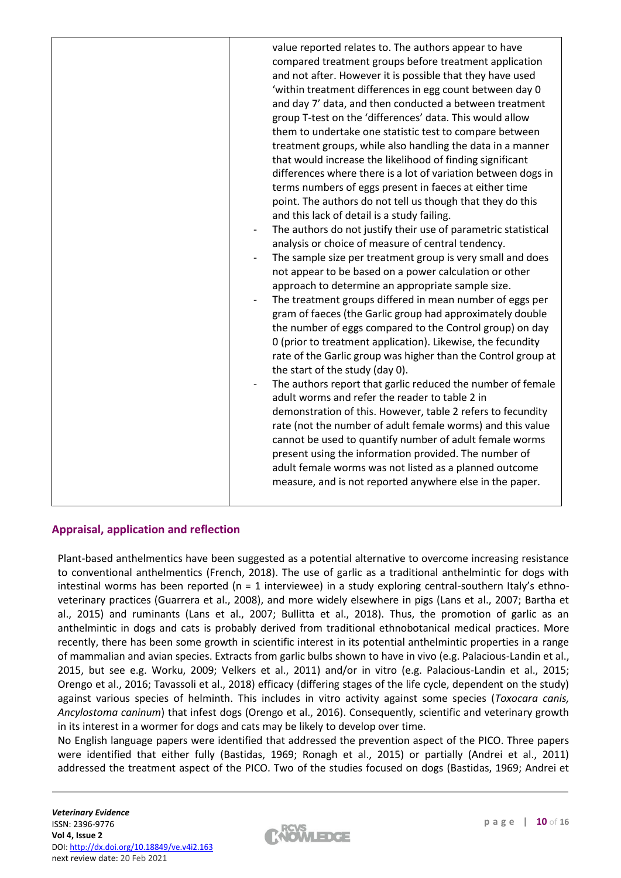| value reported relates to. The authors appear to have<br>compared treatment groups before treatment application<br>and not after. However it is possible that they have used<br>'within treatment differences in egg count between day 0<br>and day 7' data, and then conducted a between treatment<br>group T-test on the 'differences' data. This would allow<br>them to undertake one statistic test to compare between<br>treatment groups, while also handling the data in a manner<br>that would increase the likelihood of finding significant<br>differences where there is a lot of variation between dogs in<br>terms numbers of eggs present in faeces at either time<br>point. The authors do not tell us though that they do this<br>and this lack of detail is a study failing.<br>The authors do not justify their use of parametric statistical<br>$\overline{\phantom{a}}$<br>analysis or choice of measure of central tendency.<br>The sample size per treatment group is very small and does<br>not appear to be based on a power calculation or other<br>approach to determine an appropriate sample size.<br>The treatment groups differed in mean number of eggs per<br>gram of faeces (the Garlic group had approximately double<br>the number of eggs compared to the Control group) on day<br>0 (prior to treatment application). Likewise, the fecundity<br>rate of the Garlic group was higher than the Control group at<br>the start of the study (day 0).<br>The authors report that garlic reduced the number of female<br>adult worms and refer the reader to table 2 in<br>demonstration of this. However, table 2 refers to fecundity<br>rate (not the number of adult female worms) and this value<br>cannot be used to quantify number of adult female worms<br>present using the information provided. The number of<br>adult female worms was not listed as a planned outcome<br>measure, and is not reported anywhere else in the paper. |  |
|--------------------------------------------------------------------------------------------------------------------------------------------------------------------------------------------------------------------------------------------------------------------------------------------------------------------------------------------------------------------------------------------------------------------------------------------------------------------------------------------------------------------------------------------------------------------------------------------------------------------------------------------------------------------------------------------------------------------------------------------------------------------------------------------------------------------------------------------------------------------------------------------------------------------------------------------------------------------------------------------------------------------------------------------------------------------------------------------------------------------------------------------------------------------------------------------------------------------------------------------------------------------------------------------------------------------------------------------------------------------------------------------------------------------------------------------------------------------------------------------------------------------------------------------------------------------------------------------------------------------------------------------------------------------------------------------------------------------------------------------------------------------------------------------------------------------------------------------------------------------------------------------------------------------------------------------------------------------------------|--|
|                                                                                                                                                                                                                                                                                                                                                                                                                                                                                                                                                                                                                                                                                                                                                                                                                                                                                                                                                                                                                                                                                                                                                                                                                                                                                                                                                                                                                                                                                                                                                                                                                                                                                                                                                                                                                                                                                                                                                                                |  |

## **Appraisal, application and reflection**

Plant-based anthelmentics have been suggested as a potential alternative to overcome increasing resistance to conventional anthelmentics (French, 2018). The use of garlic as a traditional anthelmintic for dogs with intestinal worms has been reported ( $n = 1$  interviewee) in a study exploring central-southern Italy's ethnoveterinary practices (Guarrera et al., 2008), and more widely elsewhere in pigs (Lans et al., 2007; Bartha et al., 2015) and ruminants (Lans et al., 2007; Bullitta et al., 2018). Thus, the promotion of garlic as an anthelmintic in dogs and cats is probably derived from traditional ethnobotanical medical practices. More recently, there has been some growth in scientific interest in its potential anthelmintic properties in a range of mammalian and avian species. Extracts from garlic bulbs shown to have in vivo (e.g. Palacious-Landin et al., 2015, but see e.g. Worku, 2009; Velkers et al., 2011) and/or in vitro (e.g. Palacious-Landin et al., 2015; Orengo et al., 2016; Tavassoli et al., 2018) efficacy (differing stages of the life cycle, dependent on the study) against various species of helminth. This includes in vitro activity against some species (*Toxocara canis, Ancylostoma caninum*) that infest dogs (Orengo et al., 2016). Consequently, scientific and veterinary growth in its interest in a wormer for dogs and cats may be likely to develop over time.

No English language papers were identified that addressed the prevention aspect of the PICO. Three papers were identified that either fully (Bastidas, 1969; Ronagh et al., 2015) or partially (Andrei et al., 2011) addressed the treatment aspect of the PICO. Two of the studies focused on dogs (Bastidas, 1969; Andrei et

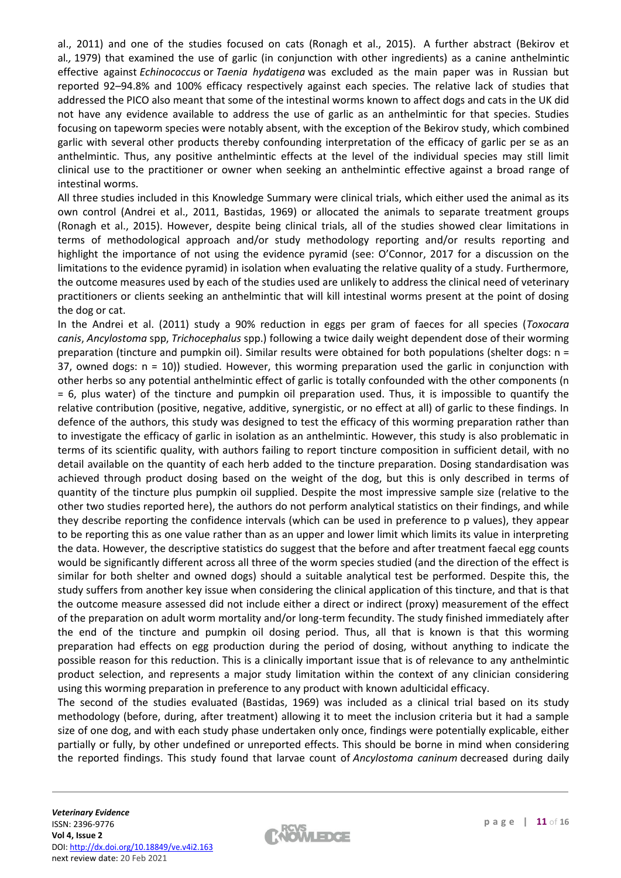al., 2011) and one of the studies focused on cats (Ronagh et al., 2015). A further abstract (Bekirov et al*.,* 1979) that examined the use of garlic (in conjunction with other ingredients) as a canine anthelmintic effective against *Echinococcus* or *Taenia hydatigena* was excluded as the main paper was in Russian but reported 92–94.8% and 100% efficacy respectively against each species. The relative lack of studies that addressed the PICO also meant that some of the intestinal worms known to affect dogs and cats in the UK did not have any evidence available to address the use of garlic as an anthelmintic for that species. Studies focusing on tapeworm species were notably absent, with the exception of the Bekirov study, which combined garlic with several other products thereby confounding interpretation of the efficacy of garlic per se as an anthelmintic. Thus, any positive anthelmintic effects at the level of the individual species may still limit clinical use to the practitioner or owner when seeking an anthelmintic effective against a broad range of intestinal worms.

All three studies included in this Knowledge Summary were clinical trials, which either used the animal as its own control (Andrei et al., 2011, Bastidas, 1969) or allocated the animals to separate treatment groups (Ronagh et al., 2015). However, despite being clinical trials, all of the studies showed clear limitations in terms of methodological approach and/or study methodology reporting and/or results reporting and highlight the importance of not using the evidence pyramid (see: O'Connor, 2017 for a discussion on the limitations to the evidence pyramid) in isolation when evaluating the relative quality of a study. Furthermore, the outcome measures used by each of the studies used are unlikely to address the clinical need of veterinary practitioners or clients seeking an anthelmintic that will kill intestinal worms present at the point of dosing the dog or cat.

In the Andrei et al. (2011) study a 90% reduction in eggs per gram of faeces for all species (*Toxocara canis*, *Ancylostoma* spp, *Trichocephalus* spp.) following a twice daily weight dependent dose of their worming preparation (tincture and pumpkin oil). Similar results were obtained for both populations (shelter dogs: n = 37, owned dogs:  $n = 10$ ) studied. However, this worming preparation used the garlic in conjunction with other herbs so any potential anthelmintic effect of garlic is totally confounded with the other components (n = 6, plus water) of the tincture and pumpkin oil preparation used. Thus, it is impossible to quantify the relative contribution (positive, negative, additive, synergistic, or no effect at all) of garlic to these findings. In defence of the authors, this study was designed to test the efficacy of this worming preparation rather than to investigate the efficacy of garlic in isolation as an anthelmintic. However, this study is also problematic in terms of its scientific quality, with authors failing to report tincture composition in sufficient detail, with no detail available on the quantity of each herb added to the tincture preparation. Dosing standardisation was achieved through product dosing based on the weight of the dog, but this is only described in terms of quantity of the tincture plus pumpkin oil supplied. Despite the most impressive sample size (relative to the other two studies reported here), the authors do not perform analytical statistics on their findings, and while they describe reporting the confidence intervals (which can be used in preference to p values), they appear to be reporting this as one value rather than as an upper and lower limit which limits its value in interpreting the data. However, the descriptive statistics do suggest that the before and after treatment faecal egg counts would be significantly different across all three of the worm species studied (and the direction of the effect is similar for both shelter and owned dogs) should a suitable analytical test be performed. Despite this, the study suffers from another key issue when considering the clinical application of this tincture, and that is that the outcome measure assessed did not include either a direct or indirect (proxy) measurement of the effect of the preparation on adult worm mortality and/or long-term fecundity. The study finished immediately after the end of the tincture and pumpkin oil dosing period. Thus, all that is known is that this worming preparation had effects on egg production during the period of dosing, without anything to indicate the possible reason for this reduction. This is a clinically important issue that is of relevance to any anthelmintic product selection, and represents a major study limitation within the context of any clinician considering using this worming preparation in preference to any product with known adulticidal efficacy.

The second of the studies evaluated (Bastidas, 1969) was included as a clinical trial based on its study methodology (before, during, after treatment) allowing it to meet the inclusion criteria but it had a sample size of one dog, and with each study phase undertaken only once, findings were potentially explicable, either partially or fully, by other undefined or unreported effects. This should be borne in mind when considering the reported findings. This study found that larvae count of *Ancylostoma caninum* decreased during daily

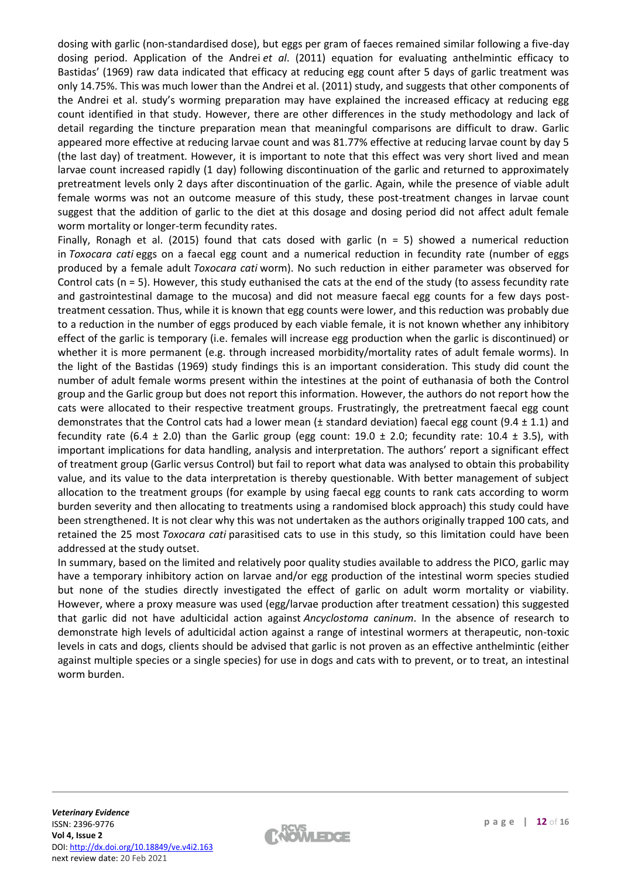dosing with garlic (non-standardised dose), but eggs per gram of faeces remained similar following a five-day dosing period. Application of the Andrei *et al*. (2011) equation for evaluating anthelmintic efficacy to Bastidas' (1969) raw data indicated that efficacy at reducing egg count after 5 days of garlic treatment was only 14.75%. This was much lower than the Andrei et al. (2011) study, and suggests that other components of the Andrei et al. study's worming preparation may have explained the increased efficacy at reducing egg count identified in that study. However, there are other differences in the study methodology and lack of detail regarding the tincture preparation mean that meaningful comparisons are difficult to draw. Garlic appeared more effective at reducing larvae count and was 81.77% effective at reducing larvae count by day 5 (the last day) of treatment. However, it is important to note that this effect was very short lived and mean larvae count increased rapidly (1 day) following discontinuation of the garlic and returned to approximately pretreatment levels only 2 days after discontinuation of the garlic. Again, while the presence of viable adult female worms was not an outcome measure of this study, these post-treatment changes in larvae count suggest that the addition of garlic to the diet at this dosage and dosing period did not affect adult female worm mortality or longer-term fecundity rates.

Finally, Ronagh et al. (2015) found that cats dosed with garlic ( $n = 5$ ) showed a numerical reduction in *Toxocara cati* eggs on a faecal egg count and a numerical reduction in fecundity rate (number of eggs produced by a female adult *Toxocara cati* worm). No such reduction in either parameter was observed for Control cats (n = 5). However, this study euthanised the cats at the end of the study (to assess fecundity rate and gastrointestinal damage to the mucosa) and did not measure faecal egg counts for a few days posttreatment cessation. Thus, while it is known that egg counts were lower, and this reduction was probably due to a reduction in the number of eggs produced by each viable female, it is not known whether any inhibitory effect of the garlic is temporary (i.e. females will increase egg production when the garlic is discontinued) or whether it is more permanent (e.g. through increased morbidity/mortality rates of adult female worms). In the light of the Bastidas (1969) study findings this is an important consideration. This study did count the number of adult female worms present within the intestines at the point of euthanasia of both the Control group and the Garlic group but does not report this information. However, the authors do not report how the cats were allocated to their respective treatment groups. Frustratingly, the pretreatment faecal egg count demonstrates that the Control cats had a lower mean ( $\pm$  standard deviation) faecal egg count (9.4  $\pm$  1.1) and fecundity rate (6.4  $\pm$  2.0) than the Garlic group (egg count: 19.0  $\pm$  2.0; fecundity rate: 10.4  $\pm$  3.5), with important implications for data handling, analysis and interpretation. The authors' report a significant effect of treatment group (Garlic versus Control) but fail to report what data was analysed to obtain this probability value, and its value to the data interpretation is thereby questionable. With better management of subject allocation to the treatment groups (for example by using faecal egg counts to rank cats according to worm burden severity and then allocating to treatments using a randomised block approach) this study could have been strengthened. It is not clear why this was not undertaken as the authors originally trapped 100 cats, and retained the 25 most *Toxocara cati* parasitised cats to use in this study, so this limitation could have been addressed at the study outset.

In summary, based on the limited and relatively poor quality studies available to address the PICO, garlic may have a temporary inhibitory action on larvae and/or egg production of the intestinal worm species studied but none of the studies directly investigated the effect of garlic on adult worm mortality or viability. However, where a proxy measure was used (egg/larvae production after treatment cessation) this suggested that garlic did not have adulticidal action against *Ancyclostoma caninum*. In the absence of research to demonstrate high levels of adulticidal action against a range of intestinal wormers at therapeutic, non-toxic levels in cats and dogs, clients should be advised that garlic is not proven as an effective anthelmintic (either against multiple species or a single species) for use in dogs and cats with to prevent, or to treat, an intestinal worm burden.

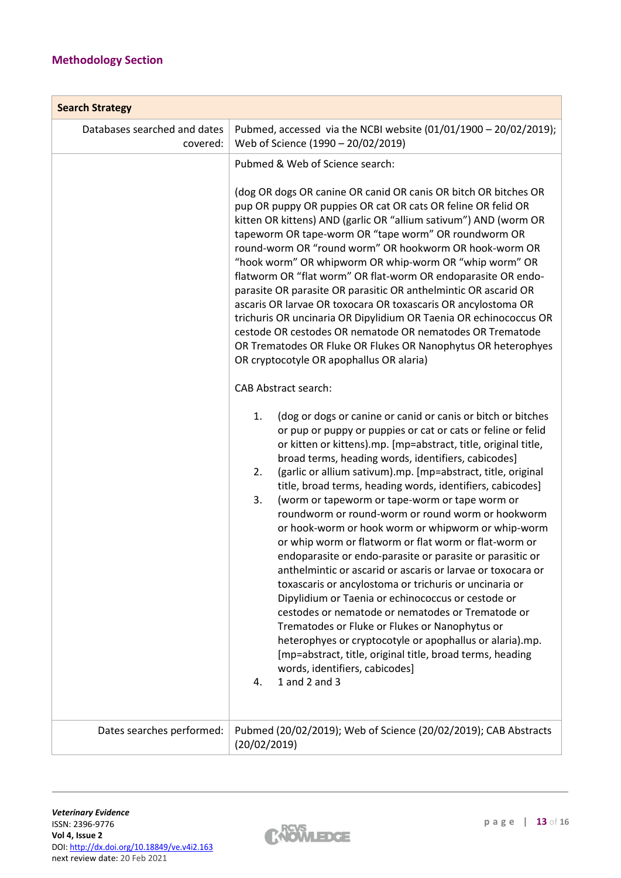# **Methodology Section**

| <b>Search Strategy</b>                   |                                                                                                                                                                                                                                                                                                                                                                                                                                                                                                                                                                                                                                                                                                                                                                                                                                                                                                                                                                                                                                                                                                                                                                  |  |  |  |  |  |
|------------------------------------------|------------------------------------------------------------------------------------------------------------------------------------------------------------------------------------------------------------------------------------------------------------------------------------------------------------------------------------------------------------------------------------------------------------------------------------------------------------------------------------------------------------------------------------------------------------------------------------------------------------------------------------------------------------------------------------------------------------------------------------------------------------------------------------------------------------------------------------------------------------------------------------------------------------------------------------------------------------------------------------------------------------------------------------------------------------------------------------------------------------------------------------------------------------------|--|--|--|--|--|
| Databases searched and dates<br>covered: | Pubmed, accessed via the NCBI website (01/01/1900 - 20/02/2019);<br>Web of Science (1990 - 20/02/2019)                                                                                                                                                                                                                                                                                                                                                                                                                                                                                                                                                                                                                                                                                                                                                                                                                                                                                                                                                                                                                                                           |  |  |  |  |  |
|                                          | Pubmed & Web of Science search:                                                                                                                                                                                                                                                                                                                                                                                                                                                                                                                                                                                                                                                                                                                                                                                                                                                                                                                                                                                                                                                                                                                                  |  |  |  |  |  |
|                                          | (dog OR dogs OR canine OR canid OR canis OR bitch OR bitches OR<br>pup OR puppy OR puppies OR cat OR cats OR feline OR felid OR<br>kitten OR kittens) AND (garlic OR "allium sativum") AND (worm OR<br>tapeworm OR tape-worm OR "tape worm" OR roundworm OR<br>round-worm OR "round worm" OR hookworm OR hook-worm OR<br>"hook worm" OR whipworm OR whip-worm OR "whip worm" OR<br>flatworm OR "flat worm" OR flat-worm OR endoparasite OR endo-<br>parasite OR parasite OR parasitic OR anthelmintic OR ascarid OR<br>ascaris OR larvae OR toxocara OR toxascaris OR ancylostoma OR<br>trichuris OR uncinaria OR Dipylidium OR Taenia OR echinococcus OR<br>cestode OR cestodes OR nematode OR nematodes OR Trematode<br>OR Trematodes OR Fluke OR Flukes OR Nanophytus OR heterophyes<br>OR cryptocotyle OR apophallus OR alaria)                                                                                                                                                                                                                                                                                                                              |  |  |  |  |  |
|                                          | <b>CAB Abstract search:</b>                                                                                                                                                                                                                                                                                                                                                                                                                                                                                                                                                                                                                                                                                                                                                                                                                                                                                                                                                                                                                                                                                                                                      |  |  |  |  |  |
|                                          | 1.<br>(dog or dogs or canine or canid or canis or bitch or bitches<br>or pup or puppy or puppies or cat or cats or feline or felid<br>or kitten or kittens).mp. [mp=abstract, title, original title,<br>broad terms, heading words, identifiers, cabicodes]<br>(garlic or allium sativum).mp. [mp=abstract, title, original<br>2.<br>title, broad terms, heading words, identifiers, cabicodes]<br>3.<br>(worm or tapeworm or tape-worm or tape worm or<br>roundworm or round-worm or round worm or hookworm<br>or hook-worm or hook worm or whipworm or whip-worm<br>or whip worm or flatworm or flat worm or flat-worm or<br>endoparasite or endo-parasite or parasite or parasitic or<br>anthelmintic or ascarid or ascaris or larvae or toxocara or<br>toxascaris or ancylostoma or trichuris or uncinaria or<br>Dipylidium or Taenia or echinococcus or cestode or<br>cestodes or nematode or nematodes or Trematode or<br>Trematodes or Fluke or Flukes or Nanophytus or<br>heterophyes or cryptocotyle or apophallus or alaria).mp.<br>[mp=abstract, title, original title, broad terms, heading<br>words, identifiers, cabicodes]<br>1 and 2 and 3<br>4. |  |  |  |  |  |
| Dates searches performed:                | Pubmed (20/02/2019); Web of Science (20/02/2019); CAB Abstracts<br>(20/02/2019)                                                                                                                                                                                                                                                                                                                                                                                                                                                                                                                                                                                                                                                                                                                                                                                                                                                                                                                                                                                                                                                                                  |  |  |  |  |  |

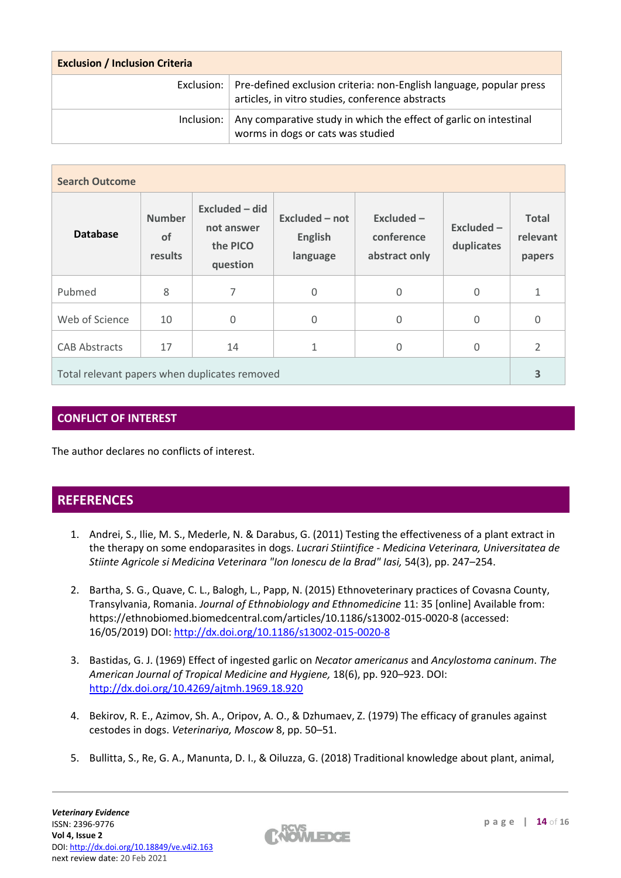| <b>Exclusion / Inclusion Criteria</b> |                                                                                                                                      |  |  |  |
|---------------------------------------|--------------------------------------------------------------------------------------------------------------------------------------|--|--|--|
|                                       | Exclusion:   Pre-defined exclusion criteria: non-English language, popular press<br>articles, in vitro studies, conference abstracts |  |  |  |
| Inclusion: $ $                        | Any comparative study in which the effect of garlic on intestinal<br>worms in dogs or cats was studied                               |  |  |  |

| <b>Search Outcome</b>                         |                                       |                                                      |                                              |                                             |                         |                                    |
|-----------------------------------------------|---------------------------------------|------------------------------------------------------|----------------------------------------------|---------------------------------------------|-------------------------|------------------------------------|
| <b>Database</b>                               | <b>Number</b><br><b>of</b><br>results | Excluded - did<br>not answer<br>the PICO<br>question | Excluded - not<br><b>English</b><br>language | Excluded $-$<br>conference<br>abstract only | Excluded-<br>duplicates | <b>Total</b><br>relevant<br>papers |
| Pubmed                                        | 8                                     | 7                                                    | 0                                            | 0                                           | $\Omega$                | $\mathbf{1}$                       |
| Web of Science                                | 10                                    | $\Omega$                                             | 0                                            | $\overline{0}$                              | $\Omega$                | $\overline{0}$                     |
| <b>CAB Abstracts</b>                          | 17                                    | 14                                                   | 1                                            | 0                                           | $\Omega$                | $\overline{2}$                     |
| Total relevant papers when duplicates removed |                                       |                                                      |                                              | 3                                           |                         |                                    |

## **CONFLICT OF INTEREST**

The author declares no conflicts of interest.

## **REFERENCES**

- 1. Andrei, S., Ilie, M. S., Mederle, N. & Darabus, G. (2011) Testing the effectiveness of a plant extract in the therapy on some endoparasites in dogs. *Lucrari Stiintifice - Medicina Veterinara, Universitatea de Stiinte Agricole si Medicina Veterinara "Ion Ionescu de la Brad" Iasi,* 54(3), pp. 247–254.
- 2. Bartha, S. G., Quave, C. L., Balogh, L., Papp, N. (2015) Ethnoveterinary practices of Covasna County, Transylvania, Romania. *Journal of Ethnobiology and Ethnomedicine* 11: 35 [online] Available from: https://ethnobiomed.biomedcentral.com/articles/10.1186/s13002-015-0020-8 (accessed: 16/05/2019) DOI:<http://dx.doi.org/10.1186/s13002-015-0020-8>
- 3. Bastidas, G. J. (1969) Effect of ingested garlic on *Necator americanus* and *Ancylostoma caninum*. *The American Journal of Tropical Medicine and Hygiene,* 18(6), pp. 920–923. DOI: <http://dx.doi.org/10.4269/ajtmh.1969.18.920>
- 4. Bekirov, R. E., Azimov, Sh. A., Oripov, A. O., & Dzhumaev, Z. (1979) The efficacy of granules against cestodes in dogs. *Veterinariya, Moscow* 8, pp. 50–51.
- 5. Bullitta, S., Re, G. A., Manunta, D. I., & Oiluzza, G. (2018) Traditional knowledge about plant, animal,

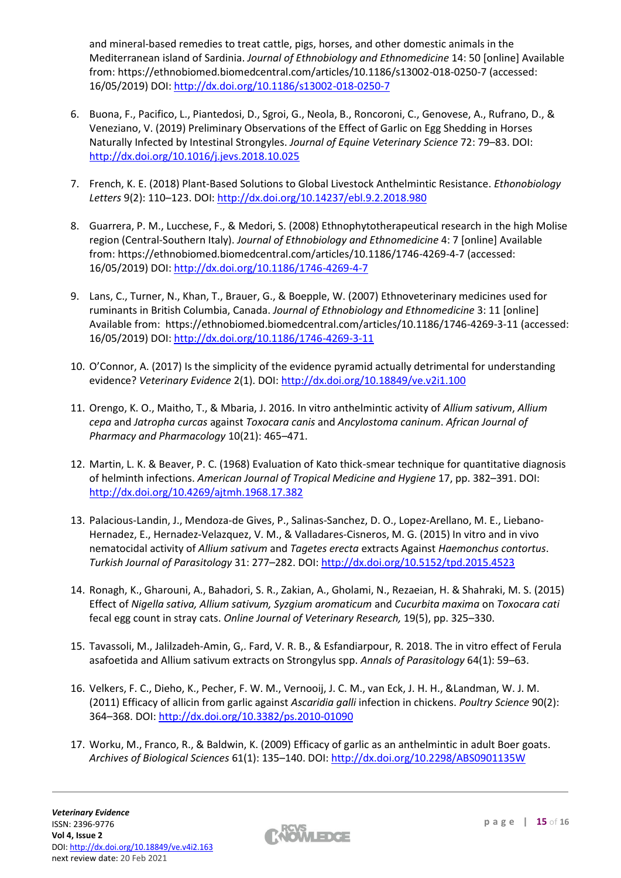and mineral-based remedies to treat cattle, pigs, horses, and other domestic animals in the Mediterranean island of Sardinia. *Journal of Ethnobiology and Ethnomedicine* 14: 50 [online] Available from: https://ethnobiomed.biomedcentral.com/articles/10.1186/s13002-018-0250-7 (accessed: 16/05/2019) DOI:<http://dx.doi.org/10.1186/s13002-018-0250-7>

- 6. Buona, F., Pacifico, L., Piantedosi, D., Sgroi, G., Neola, B., Roncoroni, C., Genovese, A., Rufrano, D., & Veneziano, V. (2019) Preliminary Observations of the Effect of Garlic on Egg Shedding in Horses Naturally Infected by Intestinal Strongyles. *Journal of Equine Veterinary Science* 72: 79–83. DOI: <http://dx.doi.org/10.1016/j.jevs.2018.10.025>
- 7. French, K. E. (2018) Plant-Based Solutions to Global Livestock Anthelmintic Resistance. *Ethonobiology Letters* 9(2): 110–123. DOI:<http://dx.doi.org/10.14237/ebl.9.2.2018.980>
- 8. Guarrera, P. M., Lucchese, F., & Medori, S. (2008) Ethnophytotherapeutical research in the high Molise region (Central-Southern Italy). *Journal of Ethnobiology and Ethnomedicine* 4: 7 [online] Available from: https://ethnobiomed.biomedcentral.com/articles/10.1186/1746-4269-4-7 (accessed: 16/05/2019) DOI:<http://dx.doi.org/10.1186/1746-4269-4-7>
- 9. Lans, C., Turner, N., Khan, T., Brauer, G., & Boepple, W. (2007) Ethnoveterinary medicines used for ruminants in British Columbia, Canada. *Journal of Ethnobiology and Ethnomedicine* 3: 11 [online] Available from: https://ethnobiomed.biomedcentral.com/articles/10.1186/1746-4269-3-11 (accessed: 16/05/2019) DOI:<http://dx.doi.org/10.1186/1746-4269-3-11>
- 10. O'Connor, A. (2017) Is the simplicity of the evidence pyramid actually detrimental for understanding evidence? *Veterinary Evidence* 2(1). DOI[: http://dx.doi.org/10.18849/ve.v2i1.100](http://dx.doi.org/10.18849/ve.v2i1.100)
- 11. Orengo, K. O., Maitho, T., & Mbaria, J. 2016. In vitro anthelmintic activity of *Allium sativum*, *Allium cepa* and *Jatropha curcas* against *Toxocara canis* and *Ancylostoma caninum*. *African Journal of Pharmacy and Pharmacology* 10(21): 465–471.
- 12. Martin, L. K. & Beaver, P. C. (1968) Evaluation of Kato thick-smear technique for quantitative diagnosis of helminth infections. *American Journal of Tropical Medicine and Hygiene* 17, pp. 382–391. DOI: <http://dx.doi.org/10.4269/ajtmh.1968.17.382>
- 13. Palacious-Landin, J., Mendoza-de Gives, P., Salinas-Sanchez, D. O., Lopez-Arellano, M. E., Liebano-Hernadez, E., Hernadez-Velazquez, V. M., & Valladares-Cisneros, M. G. (2015) In vitro and in vivo nematocidal activity of *Allium sativum* and *Tagetes erecta* extracts Against *Haemonchus contortus*. *Turkish Journal of Parasitology* 31: 277–282. DOI:<http://dx.doi.org/10.5152/tpd.2015.4523>
- 14. Ronagh, K., Gharouni, A., Bahadori, S. R., Zakian, A., Gholami, N., Rezaeian, H. & Shahraki, M. S. (2015) Effect of *Nigella sativa, Allium sativum, Syzgium aromaticum* and *Cucurbita maxima* on *Toxocara cati*  fecal egg count in stray cats. *Online Journal of Veterinary Research,* 19(5), pp. 325–330.
- 15. Tavassoli, M., Jalilzadeh-Amin, G,. Fard, V. R. B., & Esfandiarpour, R. 2018. The in vitro effect of Ferula asafoetida and Allium sativum extracts on Strongylus spp. *Annals of Parasitology* 64(1): 59–63.
- 16. Velkers, F. C., Dieho, K., Pecher, F. W. M., Vernooij, J. C. M., van Eck, J. H. H., &Landman, W. J. M. (2011) Efficacy of allicin from garlic against *Ascaridia galli* infection in chickens. *Poultry Science* 90(2): 364–368. DOI:<http://dx.doi.org/10.3382/ps.2010-01090>
- 17. Worku, M., Franco, R., & Baldwin, K. (2009) Efficacy of garlic as an anthelmintic in adult Boer goats. *Archives of Biological Sciences* 61(1): 135–140. DOI[: http://dx.doi.org/10.2298/ABS0901135W](http://dx.doi.org/10.2298/ABS0901135W)